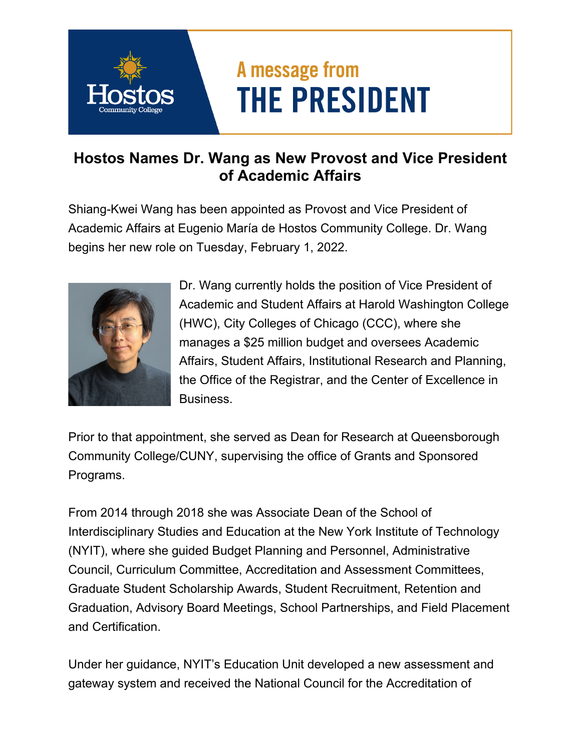## A message from **THE PRESIDENT**

## **Hostos Names Dr. Wang as New Provost and Vice President of Academic Affairs**

Shiang-Kwei Wang has been appointed as Provost and Vice President of Academic Affairs at Eugenio María de Hostos Community College. Dr. Wang begins her new role on Tuesday, February 1, 2022.



Dr. Wang currently holds the position of Vice President of Academic and Student Affairs at Harold Washington College (HWC), City Colleges of Chicago (CCC), where she manages a \$25 million budget and oversees Academic Affairs, Student Affairs, Institutional Research and Planning, the Office of the Registrar, and the Center of Excellence in Business.

Prior to that appointment, she served as Dean for Research at Queensborough Community College/CUNY, supervising the office of Grants and Sponsored Programs.

From 2014 through 2018 she was Associate Dean of the School of Interdisciplinary Studies and Education at the New York Institute of Technology (NYIT), where she guided Budget Planning and Personnel, Administrative Council, Curriculum Committee, Accreditation and Assessment Committees, Graduate Student Scholarship Awards, Student Recruitment, Retention and Graduation, Advisory Board Meetings, School Partnerships, and Field Placement and Certification.

Under her guidance, NYIT's Education Unit developed a new assessment and gateway system and received the National Council for the Accreditation of